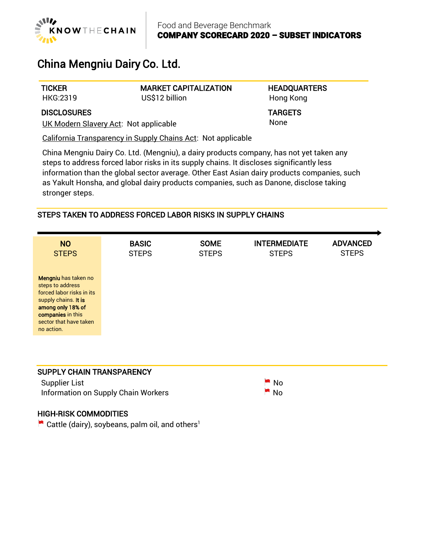

# China Mengniu Dairy Co. Ltd.

**TICKER** HKG:2319 MARKET CAPITALIZATION US\$12 billion

**HEADQUARTERS** Hong Kong

TARGETS None

**DISCLOSURES** 

UK Modern Slavery Act: Not applicable

California Transparency in Supply Chains Act: Not applicable

China Mengniu Dairy Co. Ltd. (Mengniu), a dairy products company, has not yet taken any steps to address forced labor risks in its supply chains. It discloses significantly less information than the global sector average. Other East Asian dairy products companies, such as Yakult Honsha, and global dairy products companies, such as Danone, disclose taking stronger steps.

# STEPS TAKEN TO ADDRESS FORCED LABOR RISKS IN SUPPLY CHAINS

| <b>NO</b>                                                                                                                                                                       | <b>BASIC</b> | <b>SOME</b>  | <b>INTERMEDIATE</b> | <b>ADVANCED</b> |
|---------------------------------------------------------------------------------------------------------------------------------------------------------------------------------|--------------|--------------|---------------------|-----------------|
| <b>STEPS</b>                                                                                                                                                                    | <b>STEPS</b> | <b>STEPS</b> | <b>STEPS</b>        | <b>STEPS</b>    |
| Mengniu has taken no<br>steps to address<br>forced labor risks in its<br>supply chains. It is<br>among only 18% of<br>companies in this<br>sector that have taken<br>no action. |              |              |                     |                 |

### SUPPLY CHAIN TRANSPARENCY

Supplier List No. 2012 12:30 No. 2012 12:30 No. 2012 12:30 No. 2012 12:30 No. 2013 Information on Supply Chain Workers  $\blacksquare$  No



## HIGH-RISK COMMODITIES

Cattle (dairy), soybeans, palm oil, and others<sup>1</sup>